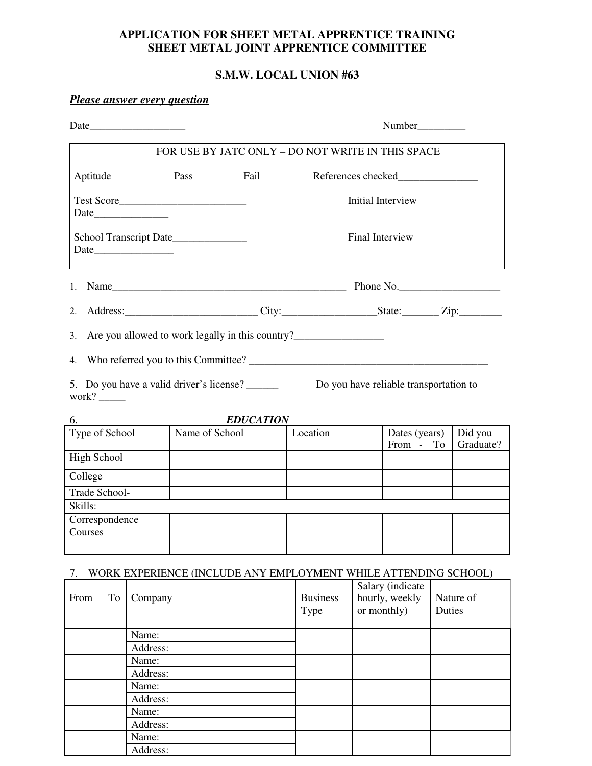## **APPLICATION FOR SHEET METAL APPRENTICE TRAINING SHEET METAL JOINT APPRENTICE COMMITTEE**

## **S.M.W. LOCAL UNION #63**

# *Please answer every question* Date\_\_\_\_\_\_\_\_\_\_\_\_\_\_\_\_\_\_ Number\_\_\_\_\_\_\_\_\_ FOR USE BY JATC ONLY – DO NOT WRITE IN THIS SPACE Aptitude Pass Fail References checked Test Score\_\_\_\_\_\_\_\_\_\_\_\_\_\_\_\_\_\_\_\_\_\_\_\_ Initial Interview Date  $\Box$ School Transcript Date\_\_\_\_\_\_\_\_\_\_\_\_\_\_ Final Interview Date\_\_\_\_\_\_\_\_\_\_\_\_\_\_\_ 1. Name\_\_\_\_\_\_\_\_\_\_\_\_\_\_\_\_\_\_\_\_\_\_\_\_\_\_\_\_\_\_\_\_\_\_\_\_\_\_\_\_\_\_\_\_ Phone No.\_\_\_\_\_\_\_\_\_\_\_\_\_\_\_\_\_\_\_ 2. Address: City: City: State: Zip: 3. Are you allowed to work legally in this country?\_\_\_\_\_\_\_\_\_\_\_\_\_\_\_\_\_\_\_\_\_\_\_\_\_\_\_\_\_\_ 4. Who referred you to this Committee? \_\_\_\_\_\_\_\_\_\_\_\_\_\_\_\_\_\_\_\_\_\_\_\_\_\_\_\_\_\_\_\_\_\_\_\_\_\_\_\_\_\_\_\_\_ 5. Do you have a valid driver's license? \_\_\_\_\_\_ Do you have reliable transportation to work?  $\_\_$ 6. *EDUCATION*<br>Type of School Name of School Name of School Location Dates (years) From - To Did you Graduate? High School College Trade School-Skills: Correspondence

### 7. WORK EXPERIENCE (INCLUDE ANY EMPLOYMENT WHILE ATTENDING SCHOOL)

Courses

| From | To | $\ldots$ ordinarion (d) (d) cooperation of the state $\ldots$<br>Company | <b>Business</b><br>Type | Salary (indicate<br>hourly, weekly<br>or monthly) | $= 1.1224 + 1.0004100$<br>Nature of<br>Duties |
|------|----|--------------------------------------------------------------------------|-------------------------|---------------------------------------------------|-----------------------------------------------|
|      |    | Name:                                                                    |                         |                                                   |                                               |
|      |    | Address:                                                                 |                         |                                                   |                                               |
|      |    | Name:                                                                    |                         |                                                   |                                               |
|      |    | Address:                                                                 |                         |                                                   |                                               |
|      |    | Name:                                                                    |                         |                                                   |                                               |
|      |    | Address:                                                                 |                         |                                                   |                                               |
|      |    | Name:                                                                    |                         |                                                   |                                               |
|      |    | Address:                                                                 |                         |                                                   |                                               |
|      |    | Name:                                                                    |                         |                                                   |                                               |
|      |    | Address:                                                                 |                         |                                                   |                                               |